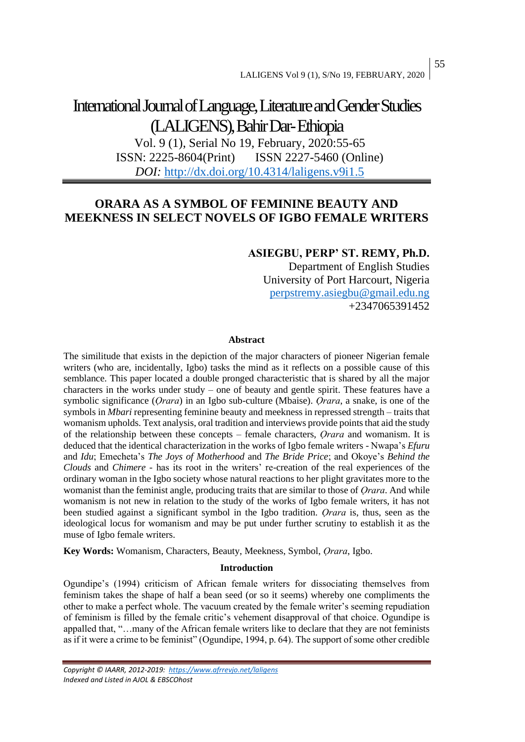# International Journal of Language, Literature and Gender Studies (LALIGENS), Bahir Dar-Ethiopia

Vol. 9 (1), Serial No 19, February, 2020:55-65 ISSN: 2225-8604(Print) ISSN 2227-5460 (Online) *DOI:* <http://dx.doi.org/10.4314/laligens.v9i1.5>

## **ORARA AS A SYMBOL OF FEMININE BEAUTY AND MEEKNESS IN SELECT NOVELS OF IGBO FEMALE WRITERS**

### **ASIEGBU, PERP' ST. REMY, Ph.D.**

Department of English Studies University of Port Harcourt, Nigeria [perpstremy.asiegbu@gmail.edu.ng](mailto:perpstremy.asiegbu@gmail.edu.ng) +2347065391452

### **Abstract**

The similitude that exists in the depiction of the major characters of pioneer Nigerian female writers (who are, incidentally, Igbo) tasks the mind as it reflects on a possible cause of this semblance. This paper located a double pronged characteristic that is shared by all the major characters in the works under study – one of beauty and gentle spirit. These features have a symbolic significance (*Ọrara*) in an Igbo sub-culture (Mbaise). *Ọrara*, a snake, is one of the symbols in *Mbari* representing feminine beauty and meekness in repressed strength – traits that womanism upholds. Text analysis, oral tradition and interviews provide points that aid the study of the relationship between these concepts – female characters, *Ọrara* and womanism. It is deduced that the identical characterization in the works of Igbo female writers - Nwapa's *Efuru* and *Idu*; Emecheta's *The Joys of Motherhood* and *The Bride Price*; and Okoye's *Behind the Clouds* and *Chimere -* has its root in the writers' re-creation of the real experiences of the ordinary woman in the Igbo society whose natural reactions to her plight gravitates more to the womanist than the feminist angle, producing traits that are similar to those of *Ọrara*. And while womanism is not new in relation to the study of the works of Igbo female writers, it has not been studied against a significant symbol in the Igbo tradition. *Ọrara* is, thus, seen as the ideological locus for womanism and may be put under further scrutiny to establish it as the muse of Igbo female writers.

**Key Words:** Womanism, Characters, Beauty, Meekness, Symbol, *Ọrara*, Igbo.

### **Introduction**

Ogundipe's (1994) criticism of African female writers for dissociating themselves from feminism takes the shape of half a bean seed (or so it seems) whereby one compliments the other to make a perfect whole. The vacuum created by the female writer's seeming repudiation of feminism is filled by the female critic's vehement disapproval of that choice. Ogundipe is appalled that, "…many of the African female writers like to declare that they are not feminists as if it were a crime to be feminist" (Ogundipe, 1994, p. 64). The support of some other credible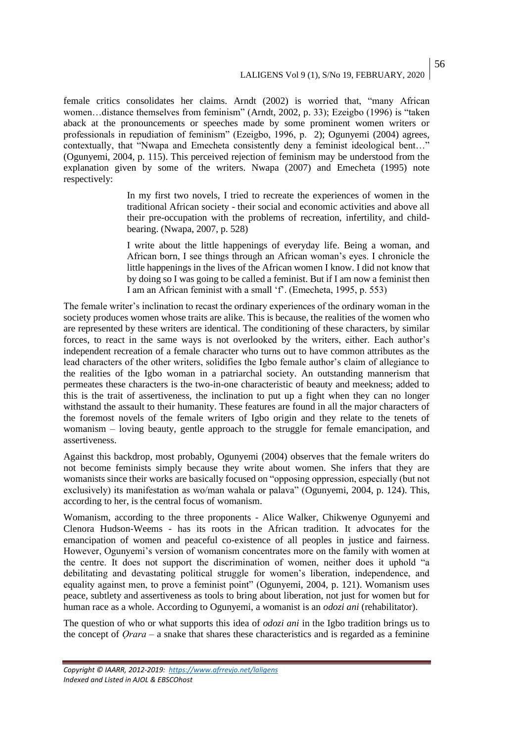female critics consolidates her claims. Arndt (2002) is worried that, "many African women…distance themselves from feminism" (Arndt, 2002, p. 33); Ezeigbo (1996) is "taken aback at the pronouncements or speeches made by some prominent women writers or professionals in repudiation of feminism" (Ezeigbo, 1996, p. 2); Ogunyemi (2004) agrees, contextually, that "Nwapa and Emecheta consistently deny a feminist ideological bent…" (Ogunyemi, 2004, p. 115). This perceived rejection of feminism may be understood from the explanation given by some of the writers. Nwapa (2007) and Emecheta (1995) note respectively:

> In my first two novels, I tried to recreate the experiences of women in the traditional African society - their social and economic activities and above all their pre-occupation with the problems of recreation, infertility, and childbearing. (Nwapa, 2007, p. 528)

> I write about the little happenings of everyday life. Being a woman, and African born, I see things through an African woman's eyes. I chronicle the little happenings in the lives of the African women I know. I did not know that by doing so I was going to be called a feminist. But if I am now a feminist then I am an African feminist with a small 'f'. (Emecheta, 1995, p. 553)

The female writer's inclination to recast the ordinary experiences of the ordinary woman in the society produces women whose traits are alike. This is because, the realities of the women who are represented by these writers are identical. The conditioning of these characters, by similar forces, to react in the same ways is not overlooked by the writers, either. Each author's independent recreation of a female character who turns out to have common attributes as the lead characters of the other writers, solidifies the Igbo female author's claim of allegiance to the realities of the Igbo woman in a patriarchal society. An outstanding mannerism that permeates these characters is the two-in-one characteristic of beauty and meekness; added to this is the trait of assertiveness, the inclination to put up a fight when they can no longer withstand the assault to their humanity. These features are found in all the major characters of the foremost novels of the female writers of Igbo origin and they relate to the tenets of womanism – loving beauty, gentle approach to the struggle for female emancipation, and assertiveness.

Against this backdrop, most probably, Ogunyemi (2004) observes that the female writers do not become feminists simply because they write about women. She infers that they are womanists since their works are basically focused on "opposing oppression, especially (but not exclusively) its manifestation as wo/man wahala or palava" (Ogunyemi, 2004, p. 124). This, according to her, is the central focus of womanism.

Womanism, according to the three proponents - Alice Walker, Chikwenye Ogunyemi and Clenora Hudson-Weems - has its roots in the African tradition. It advocates for the emancipation of women and peaceful co-existence of all peoples in justice and fairness. However, Ogunyemi's version of womanism concentrates more on the family with women at the centre. It does not support the discrimination of women, neither does it uphold "a debilitating and devastating political struggle for women's liberation, independence, and equality against men, to prove a feminist point" (Ogunyemi, 2004, p. 121). Womanism uses peace, subtlety and assertiveness as tools to bring about liberation, not just for women but for human race as a whole. According to Ogunyemi, a womanist is an *odozi ani* (rehabilitator).

The question of who or what supports this idea of *odozi ani* in the Igbo tradition brings us to the concept of *Ọrara –* a snake that shares these characteristics and is regarded as a feminine

*Copyright © IAARR, 2012-2019: <https://www.afrrevjo.net/laligens> Indexed and Listed in AJOL & EBSCOhost*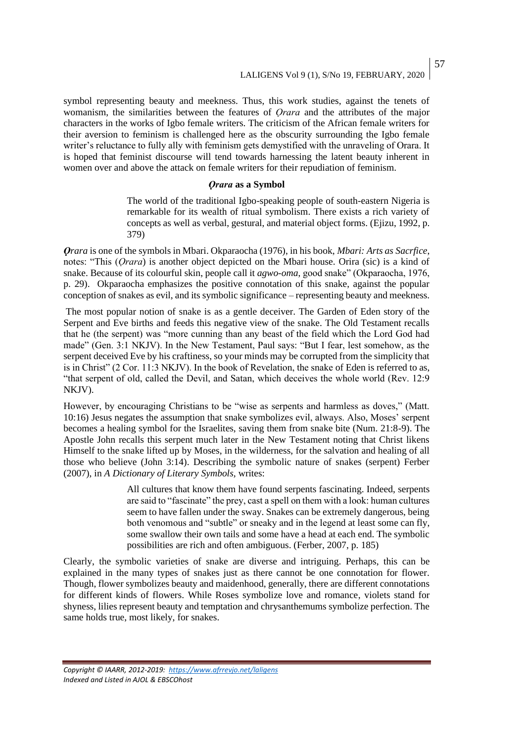symbol representing beauty and meekness. Thus, this work studies, against the tenets of womanism, the similarities between the features of *Ọrara* and the attributes of the major characters in the works of Igbo female writers. The criticism of the African female writers for their aversion to feminism is challenged here as the obscurity surrounding the Igbo female writer's reluctance to fully ally with feminism gets demystified with the unraveling of Orara. It is hoped that feminist discourse will tend towards harnessing the latent beauty inherent in women over and above the attack on female writers for their repudiation of feminism.

### *Ọrara* **as a Symbol**

The world of the traditional Igbo-speaking people of south-eastern Nigeria is remarkable for its wealth of ritual symbolism. There exists a rich variety of concepts as well as verbal, gestural, and material object forms. (Ejizu, 1992, p. 379)

*Ọrara* is one of the symbols in Mbari. Okparaocha (1976), in his book, *Mbari: Arts as Sacrfice*, notes: "This (*Ọrara*) is another object depicted on the Mbari house. Orira (sic) is a kind of snake. Because of its colourful skin, people call it *agwo-oma*, good snake" (Okparaocha, 1976, p. 29). Okparaocha emphasizes the positive connotation of this snake, against the popular conception of snakes as evil, and its symbolic significance – representing beauty and meekness.

The most popular notion of snake is as a gentle deceiver. The Garden of Eden story of the Serpent and Eve births and feeds this negative view of the snake. The Old Testament recalls that he (the serpent) was "more cunning than any beast of the field which the Lord God had made" (Gen. 3:1 NKJV). In the New Testament, Paul says: "But I fear, lest somehow, as the serpent deceived Eve by his craftiness, so your minds may be corrupted from the simplicity that is in Christ" (2 Cor. 11:3 NKJV). In the book of Revelation, the snake of Eden is referred to as, "that serpent of old, called the Devil, and Satan, which deceives the whole world (Rev. 12:9 NKJV).

However, by encouraging Christians to be "wise as serpents and harmless as doves," (Matt. 10:16) Jesus negates the assumption that snake symbolizes evil, always. Also, Moses' serpent becomes a healing symbol for the Israelites, saving them from snake bite (Num. 21:8-9). The Apostle John recalls this serpent much later in the New Testament noting that Christ likens Himself to the snake lifted up by Moses, in the wilderness, for the salvation and healing of all those who believe (John 3:14). Describing the symbolic nature of snakes (serpent) Ferber (2007), in *A Dictionary of Literary Symbols,* writes:

> All cultures that know them have found serpents fascinating. Indeed, serpents are said to "fascinate" the prey, cast a spell on them with a look: human cultures seem to have fallen under the sway. Snakes can be extremely dangerous, being both venomous and "subtle" or sneaky and in the legend at least some can fly, some swallow their own tails and some have a head at each end. The symbolic possibilities are rich and often ambiguous. (Ferber, 2007, p. 185)

Clearly, the symbolic varieties of snake are diverse and intriguing. Perhaps, this can be explained in the many types of snakes just as there cannot be one connotation for flower. Though, flower symbolizes beauty and maidenhood, generally, there are different connotations for different kinds of flowers. While Roses symbolize love and romance, violets stand for shyness, lilies represent beauty and temptation and chrysanthemums symbolize perfection. The same holds true, most likely, for snakes.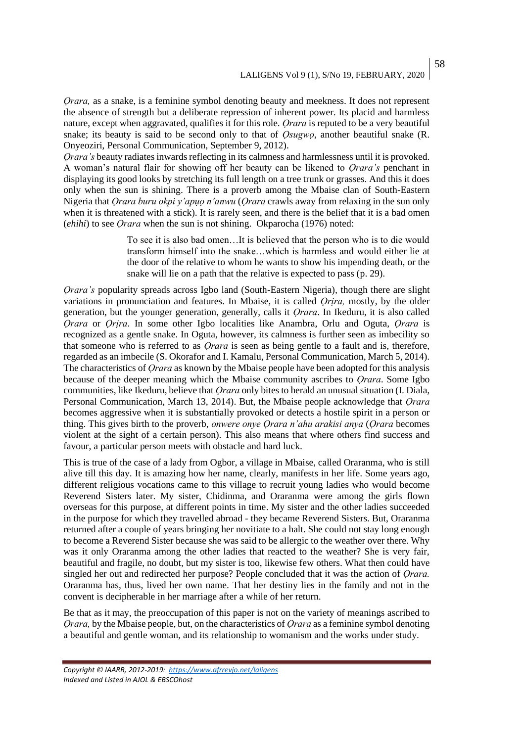*Orara,* as a snake, is a feminine symbol denoting beauty and meekness. It does not represent the absence of strength but a deliberate repression of inherent power. Its placid and harmless nature, except when aggravated, qualifies it for this role. *Ọrara* is reputed to be a very beautiful snake; its beauty is said to be second only to that of *Ọsugwọ*, another beautiful snake (R. Onyeoziri, Personal Communication, September 9, 2012).

*Ọrara's* beauty radiates inwards reflecting in its calmness and harmlessness until it is provoked. A woman's natural flair for showing off her beauty can be likened to *Ọrara's* penchant in displaying its good looks by stretching its full length on a tree trunk or grasses. And this it does only when the sun is shining. There is a proverb among the Mbaise clan of South-Eastern Nigeria that *Ọrara buru okpi y'apụọ n'anwu* (*Ọrara* crawls away from relaxing in the sun only when it is threatened with a stick). It is rarely seen, and there is the belief that it is a bad omen (*ehihi*) to see *Ọrara* when the sun is not shining. Okparocha (1976) noted:

> To see it is also bad omen…It is believed that the person who is to die would transform himself into the snake…which is harmless and would either lie at the door of the relative to whom he wants to show his impending death, or the snake will lie on a path that the relative is expected to pass (p. 29).

*Ọrara's* popularity spreads across Igbo land (South-Eastern Nigeria)*,* though there are slight variations in pronunciation and features. In Mbaise, it is called *Ọrịra,* mostly, by the older generation, but the younger generation, generally, calls it *Ọrara*. In Ikeduru, it is also called *Ọrara* or *Ọrịra*. In some other Igbo localities like Anambra, Orlu and Oguta, *Ọrara* is recognized as a gentle snake. In Oguta, however, its calmness is further seen as imbecility so that someone who is referred to as *Ọrara* is seen as being gentle to a fault and is, therefore, regarded as an imbecile (S. Okorafor and I. Kamalu, Personal Communication, March 5, 2014). The characteristics of *Ọrara* as known by the Mbaise people have been adopted for this analysis because of the deeper meaning which the Mbaise community ascribes to *Ọrara*. Some Igbo communities, like Ikeduru, believe that *Ọrara* only bites to herald an unusual situation (I. Diala, Personal Communication, March 13, 2014). But, the Mbaise people acknowledge that *Ọrara* becomes aggressive when it is substantially provoked or detects a hostile spirit in a person or thing. This gives birth to the proverb, *onwere onye Ọrara n'ahu arakisi anya* (*Ọrara* becomes violent at the sight of a certain person). This also means that where others find success and favour, a particular person meets with obstacle and hard luck.

This is true of the case of a lady from Ogbor, a village in Mbaise, called Oraranma, who is still alive till this day. It is amazing how her name, clearly, manifests in her life. Some years ago, different religious vocations came to this village to recruit young ladies who would become Reverend Sisters later. My sister, Chidinma, and Oraranma were among the girls flown overseas for this purpose, at different points in time. My sister and the other ladies succeeded in the purpose for which they travelled abroad - they became Reverend Sisters. But, Oraranma returned after a couple of years bringing her novitiate to a halt. She could not stay long enough to become a Reverend Sister because she was said to be allergic to the weather over there. Why was it only Oraranma among the other ladies that reacted to the weather? She is very fair, beautiful and fragile, no doubt, but my sister is too, likewise few others. What then could have singled her out and redirected her purpose? People concluded that it was the action of *Ọrara.*  Oraranma has, thus, lived her own name. That her destiny lies in the family and not in the convent is decipherable in her marriage after a while of her return.

Be that as it may, the preoccupation of this paper is not on the variety of meanings ascribed to *Ọrara,* by the Mbaise people, but, on the characteristics of *Ọrara* as a feminine symbol denoting a beautiful and gentle woman, and its relationship to womanism and the works under study.

*Copyright © IAARR, 2012-2019: <https://www.afrrevjo.net/laligens> Indexed and Listed in AJOL & EBSCOhost*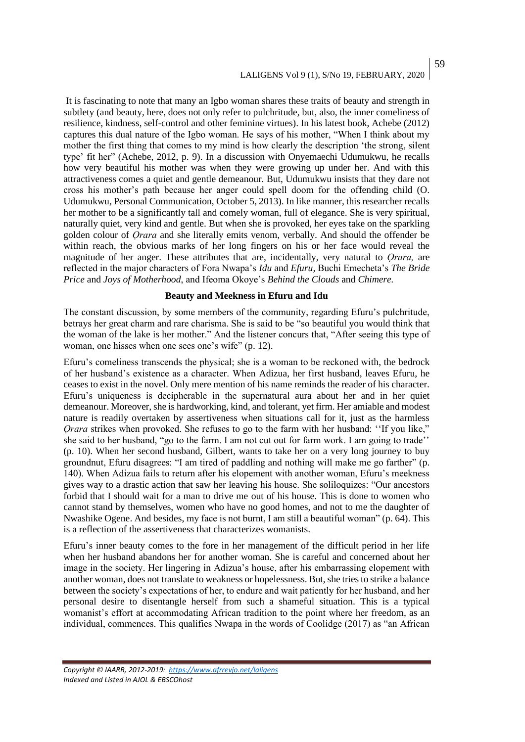# LALIGENS Vol 9 (1), S/No 19, FEBRUARY, 2020

It is fascinating to note that many an Igbo woman shares these traits of beauty and strength in subtlety (and beauty, here, does not only refer to pulchritude, but, also, the inner comeliness of resilience, kindness, self-control and other feminine virtues). In his latest book, Achebe (2012) captures this dual nature of the Igbo woman. He says of his mother, "When I think about my mother the first thing that comes to my mind is how clearly the description 'the strong, silent type' fit her" (Achebe, 2012, p. 9). In a discussion with Onyemaechi Udumukwu, he recalls how very beautiful his mother was when they were growing up under her. And with this attractiveness comes a quiet and gentle demeanour. But, Udumukwu insists that they dare not cross his mother's path because her anger could spell doom for the offending child (O. Udumukwu, Personal Communication, October 5, 2013). In like manner, this researcher recalls her mother to be a significantly tall and comely woman, full of elegance. She is very spiritual, naturally quiet, very kind and gentle. But when she is provoked, her eyes take on the sparkling golden colour of *Ọrara* and she literally emits venom, verbally. And should the offender be within reach, the obvious marks of her long fingers on his or her face would reveal the magnitude of her anger. These attributes that are, incidentally, very natural to *Ọrara,* are reflected in the major characters of Fora Nwapa's *Idu* and *Efuru,* Buchi Emecheta's *The Bride Price* and *Joys of Motherhood*, and Ifeoma Okoye's *Behind the Clouds* and *Chimere.*

### **Beauty and Meekness in Efuru and Idu**

The constant discussion, by some members of the community, regarding Efuru's pulchritude, betrays her great charm and rare charisma. She is said to be "so beautiful you would think that the woman of the lake is her mother." And the listener concurs that, "After seeing this type of woman, one hisses when one sees one's wife" (p. 12).

Efuru's comeliness transcends the physical; she is a woman to be reckoned with, the bedrock of her husband's existence as a character. When Adizua, her first husband, leaves Efuru, he ceases to exist in the novel. Only mere mention of his name reminds the reader of his character. Efuru's uniqueness is decipherable in the supernatural aura about her and in her quiet demeanour. Moreover, she is hardworking, kind, and tolerant, yet firm. Her amiable and modest nature is readily overtaken by assertiveness when situations call for it, just as the harmless *Ọrara* strikes when provoked. She refuses to go to the farm with her husband: ''If you like," she said to her husband, "go to the farm. I am not cut out for farm work. I am going to trade'' (p. 10). When her second husband, Gilbert, wants to take her on a very long journey to buy groundnut, Efuru disagrees: "I am tired of paddling and nothing will make me go farther" (p. 140). When Adizua fails to return after his elopement with another woman, Efuru's meekness gives way to a drastic action that saw her leaving his house. She soliloquizes: "Our ancestors forbid that I should wait for a man to drive me out of his house. This is done to women who cannot stand by themselves, women who have no good homes, and not to me the daughter of Nwashike Ogene. And besides, my face is not burnt, I am still a beautiful woman" (p. 64). This is a reflection of the assertiveness that characterizes womanists.

Efuru's inner beauty comes to the fore in her management of the difficult period in her life when her husband abandons her for another woman. She is careful and concerned about her image in the society. Her lingering in Adizua's house, after his embarrassing elopement with another woman, does not translate to weakness or hopelessness. But, she tries to strike a balance between the society's expectations of her, to endure and wait patiently for her husband, and her personal desire to disentangle herself from such a shameful situation. This is a typical womanist's effort at accommodating African tradition to the point where her freedom, as an individual, commences. This qualifies Nwapa in the words of Coolidge (2017) as "an African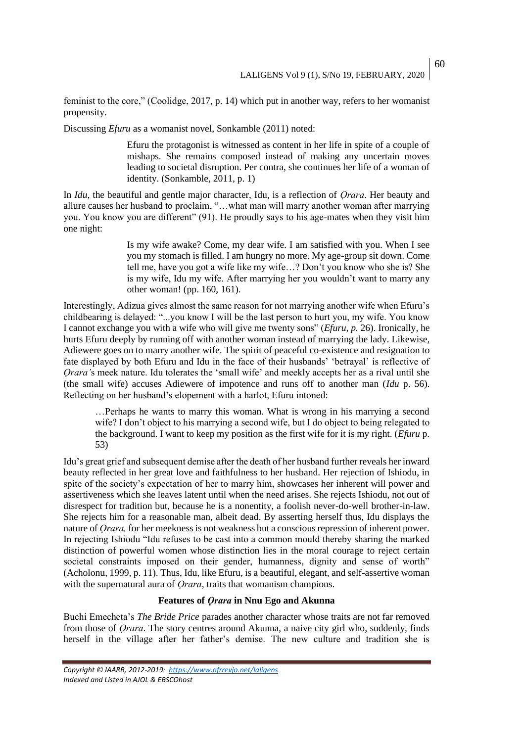feminist to the core," (Coolidge, 2017, p. 14) which put in another way, refers to her womanist propensity.

Discussing *Efuru* as a womanist novel, Sonkamble (2011) noted:

Efuru the protagonist is witnessed as content in her life in spite of a couple of mishaps. She remains composed instead of making any uncertain moves leading to societal disruption. Per contra, she continues her life of a woman of identity. (Sonkamble, 2011, p. 1)

In *Idu*, the beautiful and gentle major character, Idu, is a reflection of *Ọrara*. Her beauty and allure causes her husband to proclaim, "…what man will marry another woman after marrying you. You know you are different" (91). He proudly says to his age-mates when they visit him one night:

> Is my wife awake? Come, my dear wife. I am satisfied with you. When I see you my stomach is filled. I am hungry no more. My age-group sit down. Come tell me, have you got a wife like my wife…? Don't you know who she is? She is my wife, Idu my wife. After marrying her you wouldn't want to marry any other woman! (pp. 160, 161).

Interestingly, Adizua gives almost the same reason for not marrying another wife when Efuru's childbearing is delayed: "...you know I will be the last person to hurt you, my wife. You know I cannot exchange you with a wife who will give me twenty sons" (*Efuru, p.* 26). Ironically, he hurts Efuru deeply by running off with another woman instead of marrying the lady. Likewise, Adiewere goes on to marry another wife. The spirit of peaceful co-existence and resignation to fate displayed by both Efuru and Idu in the face of their husbands' 'betrayal' is reflective of *Ọrara'*s meek nature. Idu tolerates the 'small wife' and meekly accepts her as a rival until she (the small wife) accuses Adiewere of impotence and runs off to another man (*Idu* p. 56). Reflecting on her husband's elopement with a harlot, Efuru intoned:

…Perhaps he wants to marry this woman. What is wrong in his marrying a second wife? I don't object to his marrying a second wife, but I do object to being relegated to the background. I want to keep my position as the first wife for it is my right. (*Efuru* p. 53)

Idu's great grief and subsequent demise after the death of her husband further reveals her inward beauty reflected in her great love and faithfulness to her husband. Her rejection of Ishiodu, in spite of the society's expectation of her to marry him, showcases her inherent will power and assertiveness which she leaves latent until when the need arises. She rejects Ishiodu, not out of disrespect for tradition but, because he is a nonentity, a foolish never-do-well brother-in-law. She rejects him for a reasonable man, albeit dead. By asserting herself thus, Idu displays the nature of *Ọrara,* for her meekness is not weakness but a conscious repression of inherent power. In rejecting Ishiodu "Idu refuses to be cast into a common mould thereby sharing the marked distinction of powerful women whose distinction lies in the moral courage to reject certain societal constraints imposed on their gender, humanness, dignity and sense of worth" (Acholonu, 1999, p. 11). Thus, Idu, like Efuru, is a beautiful, elegant, and self-assertive woman with the supernatural aura of *Orara*, traits that womanism champions.

### **Features of** *Ọrara* **in Nnu Ego and Akunna**

Buchi Emecheta's *The Bride Price* parades another character whose traits are not far removed from those of *Ọrara*. The story centres around Akunna, a naive city girl who, suddenly, finds herself in the village after her father's demise. The new culture and tradition she is

*Copyright © IAARR, 2012-2019: <https://www.afrrevjo.net/laligens> Indexed and Listed in AJOL & EBSCOhost*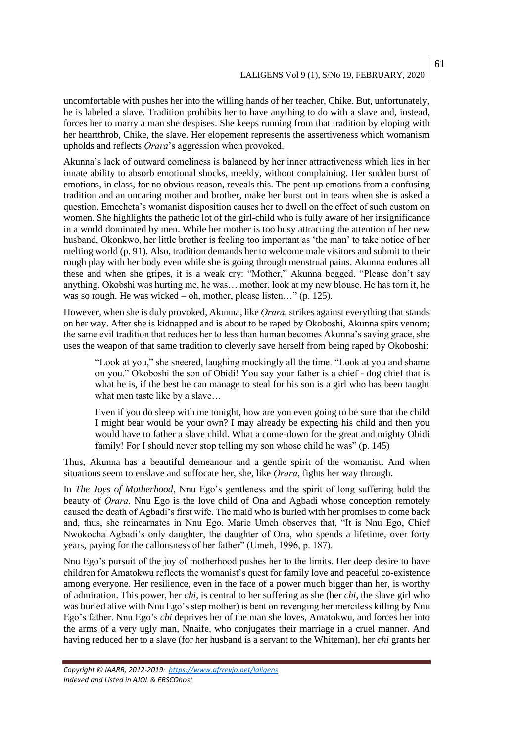uncomfortable with pushes her into the willing hands of her teacher, Chike. But, unfortunately, he is labeled a slave. Tradition prohibits her to have anything to do with a slave and, instead, forces her to marry a man she despises. She keeps running from that tradition by eloping with her heartthrob, Chike, the slave. Her elopement represents the assertiveness which womanism upholds and reflects *Ọrara*'s aggression when provoked.

Akunna's lack of outward comeliness is balanced by her inner attractiveness which lies in her innate ability to absorb emotional shocks, meekly, without complaining. Her sudden burst of emotions, in class, for no obvious reason, reveals this. The pent-up emotions from a confusing tradition and an uncaring mother and brother, make her burst out in tears when she is asked a question. Emecheta's womanist disposition causes her to dwell on the effect of such custom on women. She highlights the pathetic lot of the girl-child who is fully aware of her insignificance in a world dominated by men. While her mother is too busy attracting the attention of her new husband, Okonkwo, her little brother is feeling too important as 'the man' to take notice of her melting world (p. 91). Also, tradition demands her to welcome male visitors and submit to their rough play with her body even while she is going through menstrual pains. Akunna endures all these and when she gripes, it is a weak cry: "Mother," Akunna begged. "Please don't say anything. Okobshi was hurting me, he was… mother, look at my new blouse. He has torn it, he was so rough. He was wicked – oh, mother, please listen..." (p. 125).

However, when she is duly provoked, Akunna, like *Ọrara,* strikes against everything that stands on her way. After she is kidnapped and is about to be raped by Okoboshi, Akunna spits venom; the same evil tradition that reduces her to less than human becomes Akunna's saving grace, she uses the weapon of that same tradition to cleverly save herself from being raped by Okoboshi:

"Look at you," she sneered, laughing mockingly all the time. "Look at you and shame on you." Okoboshi the son of Obidi! You say your father is a chief - dog chief that is what he is, if the best he can manage to steal for his son is a girl who has been taught what men taste like by a slave…

Even if you do sleep with me tonight, how are you even going to be sure that the child I might bear would be your own? I may already be expecting his child and then you would have to father a slave child. What a come-down for the great and mighty Obidi family! For I should never stop telling my son whose child he was" (p. 145)

Thus, Akunna has a beautiful demeanour and a gentle spirit of the womanist. And when situations seem to enslave and suffocate her, she, like *Ọrara*, fights her way through.

In *The Joys of Motherhood*, Nnu Ego's gentleness and the spirit of long suffering hold the beauty of *Ọrara.* Nnu Ego is the love child of Ona and Agbadi whose conception remotely caused the death of Agbadi's first wife. The maid who is buried with her promises to come back and, thus, she reincarnates in Nnu Ego. Marie Umeh observes that, "It is Nnu Ego, Chief Nwokocha Agbadi's only daughter, the daughter of Ona, who spends a lifetime, over forty years, paying for the callousness of her father" (Umeh, 1996, p. 187).

Nnu Ego's pursuit of the joy of motherhood pushes her to the limits. Her deep desire to have children for Amatokwu reflects the womanist's quest for family love and peaceful co-existence among everyone. Her resilience, even in the face of a power much bigger than her, is worthy of admiration. This power, her *chi*, is central to her suffering as she (her *chi*, the slave girl who was buried alive with Nnu Ego's step mother) is bent on revenging her merciless killing by Nnu Ego's father. Nnu Ego's *chi* deprives her of the man she loves, Amatokwu, and forces her into the arms of a very ugly man, Nnaife, who conjugates their marriage in a cruel manner. And having reduced her to a slave (for her husband is a servant to the Whiteman), her *chi* grants her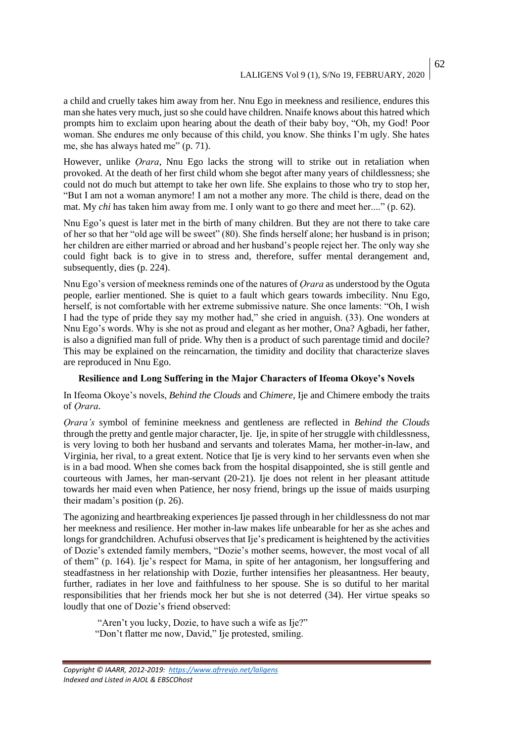a child and cruelly takes him away from her. Nnu Ego in meekness and resilience, endures this man she hates very much, just so she could have children. Nnaife knows about this hatred which prompts him to exclaim upon hearing about the death of their baby boy, "Oh, my God! Poor woman. She endures me only because of this child, you know. She thinks I'm ugly. She hates me, she has always hated me" (p. 71).

However, unlike *Ọrara*, Nnu Ego lacks the strong will to strike out in retaliation when provoked. At the death of her first child whom she begot after many years of childlessness; she could not do much but attempt to take her own life. She explains to those who try to stop her, "But I am not a woman anymore! I am not a mother any more. The child is there, dead on the mat. My *chi* has taken him away from me. I only want to go there and meet her...." (p. 62).

Nnu Ego's quest is later met in the birth of many children. But they are not there to take care of her so that her "old age will be sweet" (80). She finds herself alone; her husband is in prison; her children are either married or abroad and her husband's people reject her. The only way she could fight back is to give in to stress and, therefore, suffer mental derangement and, subsequently, dies (p. 224).

Nnu Ego's version of meekness reminds one of the natures of *Ọrara* as understood by the Oguta people, earlier mentioned. She is quiet to a fault which gears towards imbecility. Nnu Ego, herself, is not comfortable with her extreme submissive nature. She once laments: "Oh, I wish I had the type of pride they say my mother had," she cried in anguish. (33). One wonders at Nnu Ego's words. Why is she not as proud and elegant as her mother, Ona? Agbadi, her father, is also a dignified man full of pride. Why then is a product of such parentage timid and docile? This may be explained on the reincarnation, the timidity and docility that characterize slaves are reproduced in Nnu Ego.

### **Resilience and Long Suffering in the Major Characters of Ifeoma Okoye's Novels**

In Ifeoma Okoye's novels, *Behind the Clouds* and *Chimere*, Ije and Chimere embody the traits of *Ọrara*.

*Ọrara's* symbol of feminine meekness and gentleness are reflected in *Behind the Clouds* through the pretty and gentle major character, Ije. Ije, in spite of her struggle with childlessness, is very loving to both her husband and servants and tolerates Mama, her mother-in-law, and Virginia, her rival, to a great extent. Notice that Ije is very kind to her servants even when she is in a bad mood. When she comes back from the hospital disappointed, she is still gentle and courteous with James, her man-servant (20-21). Ije does not relent in her pleasant attitude towards her maid even when Patience, her nosy friend, brings up the issue of maids usurping their madam's position (p. 26).

The agonizing and heartbreaking experiences Ije passed through in her childlessness do not mar her meekness and resilience. Her mother in-law makes life unbearable for her as she aches and longs for grandchildren. Achufusi observes that Ije's predicament is heightened by the activities of Dozie's extended family members, "Dozie's mother seems, however, the most vocal of all of them" (p. 164). Ije's respect for Mama, in spite of her antagonism, her longsuffering and steadfastness in her relationship with Dozie, further intensifies her pleasantness. Her beauty, further, radiates in her love and faithfulness to her spouse. She is so dutiful to her marital responsibilities that her friends mock her but she is not deterred (34). Her virtue speaks so loudly that one of Dozie's friend observed:

"Aren't you lucky, Dozie, to have such a wife as Ije?" "Don't flatter me now, David," Ije protested, smiling.

*Copyright © IAARR, 2012-2019: <https://www.afrrevjo.net/laligens> Indexed and Listed in AJOL & EBSCOhost*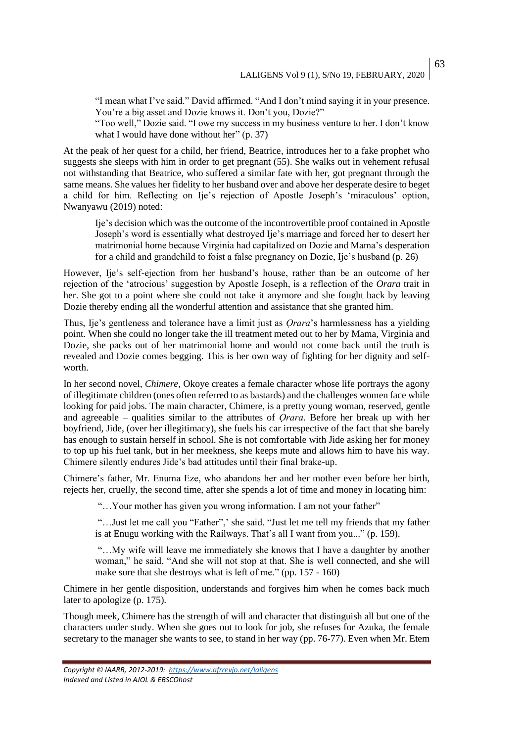"I mean what I've said." David affirmed. "And I don't mind saying it in your presence. You're a big asset and Dozie knows it. Don't you, Dozie?"

"Too well," Dozie said. "I owe my success in my business venture to her. I don't know what I would have done without her" (p. 37)

At the peak of her quest for a child, her friend, Beatrice, introduces her to a fake prophet who suggests she sleeps with him in order to get pregnant (55). She walks out in vehement refusal not withstanding that Beatrice, who suffered a similar fate with her, got pregnant through the same means. She values her fidelity to her husband over and above her desperate desire to beget a child for him. Reflecting on Ije's rejection of Apostle Joseph's 'miraculous' option, Nwanyawu (2019) noted:

Ije's decision which was the outcome of the incontrovertible proof contained in Apostle Joseph's word is essentially what destroyed Ije's marriage and forced her to desert her matrimonial home because Virginia had capitalized on Dozie and Mama's desperation for a child and grandchild to foist a false pregnancy on Dozie, Ije's husband (p. 26)

However, Ije's self-ejection from her husband's house, rather than be an outcome of her rejection of the 'atrocious' suggestion by Apostle Joseph, is a reflection of the *Orara* trait in her. She got to a point where she could not take it anymore and she fought back by leaving Dozie thereby ending all the wonderful attention and assistance that she granted him.

Thus, Ije's gentleness and tolerance have a limit just as *Ọrara*'s harmlessness has a yielding point. When she could no longer take the ill treatment meted out to her by Mama, Virginia and Dozie, she packs out of her matrimonial home and would not come back until the truth is revealed and Dozie comes begging. This is her own way of fighting for her dignity and selfworth.

In her second novel, *Chimere*, Okoye creates a female character whose life portrays the agony of illegitimate children (ones often referred to as bastards) and the challenges women face while looking for paid jobs. The main character, Chimere, is a pretty young woman, reserved, gentle and agreeable – qualities similar to the attributes of *Ọrara*. Before her break up with her boyfriend, Jide, (over her illegitimacy), she fuels his car irrespective of the fact that she barely has enough to sustain herself in school. She is not comfortable with Jide asking her for money to top up his fuel tank, but in her meekness, she keeps mute and allows him to have his way. Chimere silently endures Jide's bad attitudes until their final brake-up.

Chimere's father, Mr. Enuma Eze, who abandons her and her mother even before her birth, rejects her, cruelly, the second time, after she spends a lot of time and money in locating him:

"...Your mother has given you wrong information. I am not your father"

"…Just let me call you "Father",' she said. "Just let me tell my friends that my father is at Enugu working with the Railways. That's all I want from you..." (p. 159).

"…My wife will leave me immediately she knows that I have a daughter by another woman," he said. "And she will not stop at that. She is well connected, and she will make sure that she destroys what is left of me." (pp. 157 - 160)

Chimere in her gentle disposition, understands and forgives him when he comes back much later to apologize (p. 175).

Though meek, Chimere has the strength of will and character that distinguish all but one of the characters under study. When she goes out to look for job, she refuses for Azuka, the female secretary to the manager she wants to see, to stand in her way (pp. 76-77). Even when Mr. Etem

*Copyright © IAARR, 2012-2019: <https://www.afrrevjo.net/laligens> Indexed and Listed in AJOL & EBSCOhost*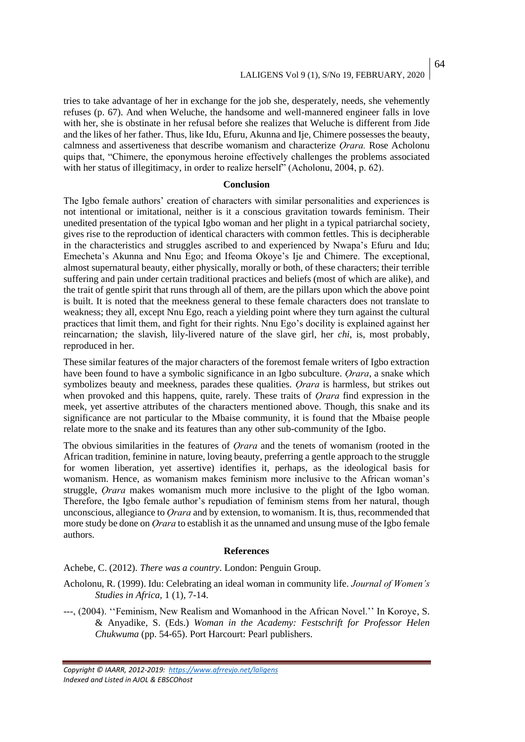tries to take advantage of her in exchange for the job she, desperately, needs, she vehemently refuses (p. 67). And when Weluche, the handsome and well-mannered engineer falls in love with her, she is obstinate in her refusal before she realizes that Weluche is different from Jide and the likes of her father. Thus, like Idu, Efuru, Akunna and Ije, Chimere possesses the beauty, calmness and assertiveness that describe womanism and characterize *Ọrara.* Rose Acholonu quips that, "Chimere, the eponymous heroine effectively challenges the problems associated with her status of illegitimacy, in order to realize herself" (Acholonu, 2004, p. 62).

### **Conclusion**

The Igbo female authors' creation of characters with similar personalities and experiences is not intentional or imitational, neither is it a conscious gravitation towards feminism. Their unedited presentation of the typical Igbo woman and her plight in a typical patriarchal society, gives rise to the reproduction of identical characters with common fettles. This is decipherable in the characteristics and struggles ascribed to and experienced by Nwapa's Efuru and Idu; Emecheta's Akunna and Nnu Ego; and Ifeoma Okoye's Ije and Chimere. The exceptional, almost supernatural beauty, either physically, morally or both, of these characters; their terrible suffering and pain under certain traditional practices and beliefs (most of which are alike), and the trait of gentle spirit that runs through all of them, are the pillars upon which the above point is built. It is noted that the meekness general to these female characters does not translate to weakness; they all, except Nnu Ego, reach a yielding point where they turn against the cultural practices that limit them, and fight for their rights. Nnu Ego's docility is explained against her reincarnation*;* the slavish, lily-livered nature of the slave girl, her *chi*, is, most probably, reproduced in her.

These similar features of the major characters of the foremost female writers of Igbo extraction have been found to have a symbolic significance in an Igbo subculture. *Ọrara*, a snake which symbolizes beauty and meekness, parades these qualities. *Ọrara* is harmless, but strikes out when provoked and this happens, quite, rarely. These traits of *Ọrara* find expression in the meek, yet assertive attributes of the characters mentioned above. Though, this snake and its significance are not particular to the Mbaise community, it is found that the Mbaise people relate more to the snake and its features than any other sub-community of the Igbo.

The obvious similarities in the features of *Ọrara* and the tenets of womanism (rooted in the African tradition, feminine in nature, loving beauty, preferring a gentle approach to the struggle for women liberation, yet assertive) identifies it, perhaps, as the ideological basis for womanism. Hence, as womanism makes feminism more inclusive to the African woman's struggle, *Ọrara* makes womanism much more inclusive to the plight of the Igbo woman. Therefore, the Igbo female author's repudiation of feminism stems from her natural, though unconscious, allegiance to *Ọrara* and by extension, to womanism. It is, thus, recommended that more study be done on *Ọrara* to establish it as the unnamed and unsung muse of the Igbo female authors.

#### **References**

Achebe, C. (2012). *There was a country*. London: Penguin Group.

- Acholonu, R. (1999). Idu: Celebrating an ideal woman in community life. *Journal of Women's Studies in Africa,* 1 (1), 7-14.
- ---, (2004). ''Feminism, New Realism and Womanhood in the African Novel.'' In Koroye, S. & Anyadike, S. (Eds.) *Woman in the Academy: Festschrift for Professor Helen Chukwuma* (pp. 54-65). Port Harcourt: Pearl publishers.

*Copyright © IAARR, 2012-2019: <https://www.afrrevjo.net/laligens> Indexed and Listed in AJOL & EBSCOhost*